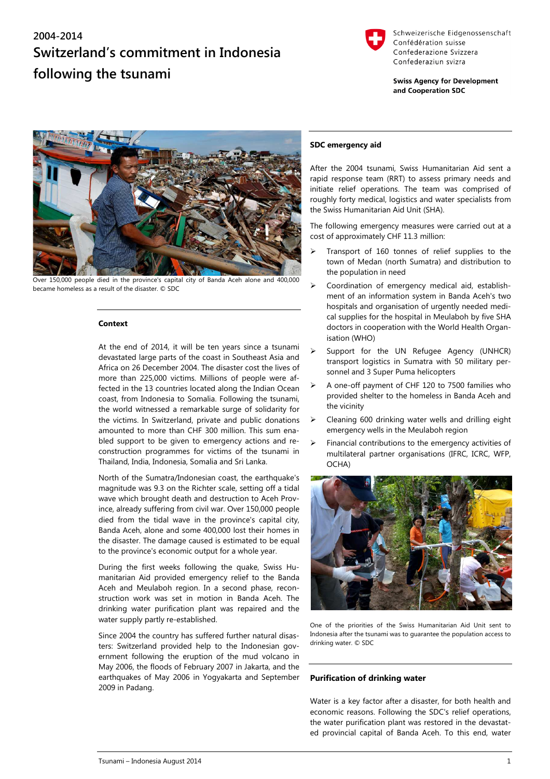# **2004-2014 Switzerland's commitment in Indonesia following the tsunami**



Schweizerische Eidgenossenschaft Confédération suisse Confederazione Svizzera Confederaziun svizra

**Swiss Agency for Development** and Cooperation SDC



er 150,000 people died in the province's capital city of Banda Aceh alone and 400,000 became homeless as a result of the disaster. © SDC

#### **Context**

At the end of 2014, it will be ten years since a tsunami devastated large parts of the coast in Southeast Asia and Africa on 26 December 2004. The disaster cost the lives of more than 225,000 victims. Millions of people were affected in the 13 countries located along the Indian Ocean coast, from Indonesia to Somalia. Following the tsunami, the world witnessed a remarkable surge of solidarity for the victims. In Switzerland, private and public donations amounted to more than CHF 300 million. This sum enabled support to be given to emergency actions and reconstruction programmes for victims of the tsunami in Thailand, India, Indonesia, Somalia and Sri Lanka.

North of the Sumatra/Indonesian coast, the earthquake's magnitude was 9.3 on the Richter scale, setting off a tidal wave which brought death and destruction to Aceh Province, already suffering from civil war. Over 150,000 people died from the tidal wave in the province's capital city, Banda Aceh, alone and some 400,000 lost their homes in the disaster. The damage caused is estimated to be equal to the province's economic output for a whole year.

During the first weeks following the quake, Swiss Humanitarian Aid provided emergency relief to the Banda Aceh and Meulaboh region. In a second phase, reconstruction work was set in motion in Banda Aceh. The drinking water purification plant was repaired and the water supply partly re-established.

Since 2004 the country has suffered further natural disasters: Switzerland provided help to the Indonesian government following the eruption of the mud volcano in May 2006, the floods of February 2007 in Jakarta, and the earthquakes of May 2006 in Yogyakarta and September 2009 in Padang.

### **SDC emergency aid**

After the 2004 tsunami, Swiss Humanitarian Aid sent a rapid response team (RRT) to assess primary needs and initiate relief operations. The team was comprised of roughly forty medical, logistics and water specialists from the Swiss Humanitarian Aid Unit (SHA).

The following emergency measures were carried out at a cost of approximately CHF 11.3 million:

- $\triangleright$  Transport of 160 tonnes of relief supplies to the town of Medan (north Sumatra) and distribution to the population in need
- $\triangleright$  Coordination of emergency medical aid, establishment of an information system in Banda Aceh's two hospitals and organisation of urgently needed medical supplies for the hospital in Meulaboh by five SHA doctors in cooperation with the World Health Organisation (WHO)
- Support for the UN Refugee Agency (UNHCR) transport logistics in Sumatra with 50 military personnel and 3 Super Puma helicopters
- A one-off payment of CHF 120 to 7500 families who provided shelter to the homeless in Banda Aceh and the vicinity
- Cleaning 600 drinking water wells and drilling eight emergency wells in the Meulaboh region
- Financial contributions to the emergency activities of multilateral partner organisations (IFRC, ICRC, WFP, OCHA)



One of the priorities of the Swiss Humanitarian Aid Unit sent to Indonesia after the tsunami was to guarantee the population access to drinking water. © SDC

## **Purification of drinking water**

Water is a key factor after a disaster, for both health and economic reasons. Following the SDC's relief operations, the water purification plant was restored in the devastated provincial capital of Banda Aceh. To this end, water